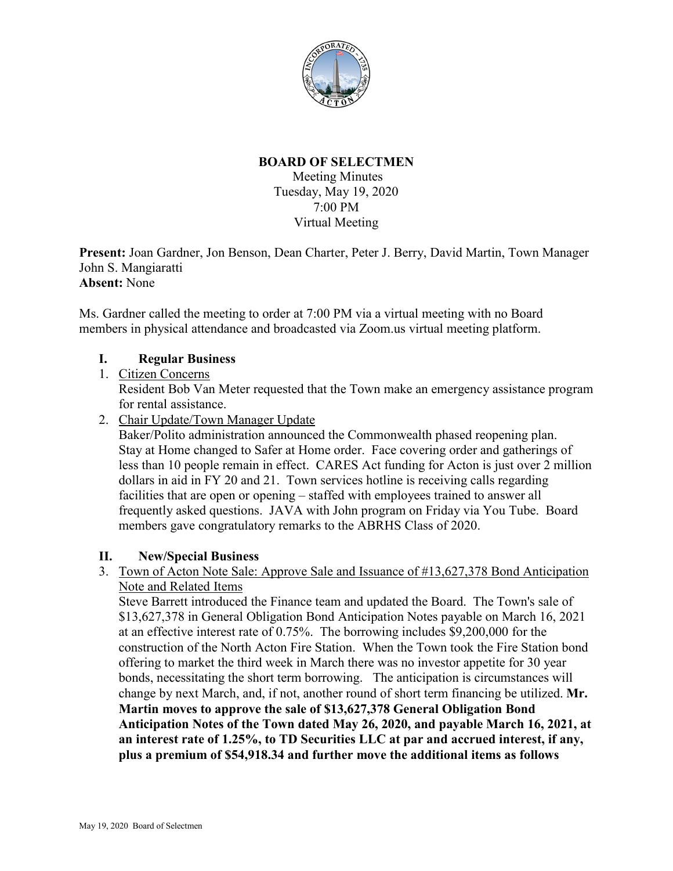

# **BOARD OF SELECTMEN**

Meeting Minutes Tuesday, May 19, 2020 7:00 PM Virtual Meeting

**Present:** Joan Gardner, Jon Benson, Dean Charter, Peter J. Berry, David Martin, Town Manager John S. Mangiaratti **Absent:** None

Ms. Gardner called the meeting to order at 7:00 PM via a virtual meeting with no Board members in physical attendance and broadcasted via Zoom.us virtual meeting platform.

# **I. Regular Business**

- 1. Citizen Concerns Resident Bob Van Meter requested that the Town make an emergency assistance program for rental assistance.
- 2. Chair Update/Town Manager Update

Baker/Polito administration announced the Commonwealth phased reopening plan. Stay at Home changed to Safer at Home order. Face covering order and gatherings of less than 10 people remain in effect. CARES Act funding for Acton is just over 2 million dollars in aid in FY 20 and 21. Town services hotline is receiving calls regarding facilities that are open or opening – staffed with employees trained to answer all frequently asked questions. JAVA with John program on Friday via You Tube. Board members gave congratulatory remarks to the ABRHS Class of 2020.

### **II. New/Special Business**

3. Town of Acton Note Sale: Approve Sale and Issuance of #13,627,378 Bond Anticipation Note and Related Items

Steve Barrett introduced the Finance team and updated the Board. The Town's sale of \$13,627,378 in General Obligation Bond Anticipation Notes payable on March 16, 2021 at an effective interest rate of 0.75%. The borrowing includes \$9,200,000 for the construction of the North Acton Fire Station. When the Town took the Fire Station bond offering to market the third week in March there was no investor appetite for 30 year bonds, necessitating the short term borrowing. The anticipation is circumstances will change by next March, and, if not, another round of short term financing be utilized. **Mr. Martin moves to approve the sale of \$13,627,378 General Obligation Bond Anticipation Notes of the Town dated May 26, 2020, and payable March 16, 2021, at an interest rate of 1.25%, to TD Securities LLC at par and accrued interest, if any, plus a premium of \$54,918.34 and further move the additional items as follows**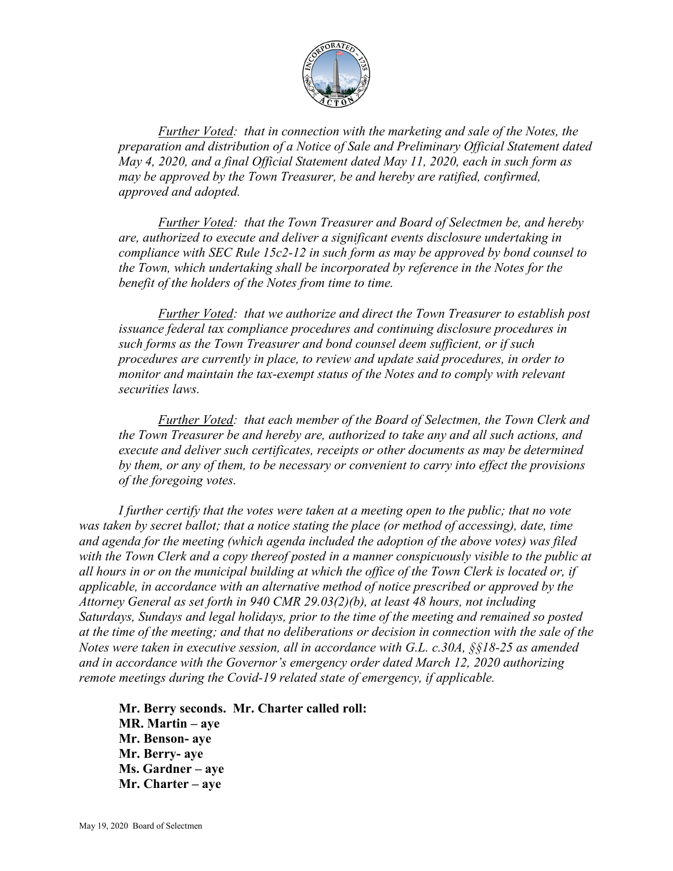

*Further Voted: that in connection with the marketing and sale of the Notes, the preparation and distribution of a Notice of Sale and Preliminary Official Statement dated May 4, 2020, and a final Official Statement dated May 11, 2020, each in such form as may be approved by the Town Treasurer, be and hereby are ratified, confirmed, approved and adopted.* 

*Further Voted: that the Town Treasurer and Board of Selectmen be, and hereby are, authorized to execute and deliver a significant events disclosure undertaking in compliance with SEC Rule 15c2-12 in such form as may be approved by bond counsel to the Town, which undertaking shall be incorporated by reference in the Notes for the benefit of the holders of the Notes from time to time.*

*Further Voted: that we authorize and direct the Town Treasurer to establish post issuance federal tax compliance procedures and continuing disclosure procedures in such forms as the Town Treasurer and bond counsel deem sufficient, or if such procedures are currently in place, to review and update said procedures, in order to monitor and maintain the tax-exempt status of the Notes and to comply with relevant securities laws.*

*Further Voted: that each member of the Board of Selectmen, the Town Clerk and the Town Treasurer be and hereby are, authorized to take any and all such actions, and execute and deliver such certificates, receipts or other documents as may be determined by them, or any of them, to be necessary or convenient to carry into effect the provisions of the foregoing votes.* 

*I further certify that the votes were taken at a meeting open to the public; that no vote was taken by secret ballot; that a notice stating the place (or method of accessing), date, time and agenda for the meeting (which agenda included the adoption of the above votes) was filed with the Town Clerk and a copy thereof posted in a manner conspicuously visible to the public at all hours in or on the municipal building at which the office of the Town Clerk is located or, if applicable, in accordance with an alternative method of notice prescribed or approved by the Attorney General as set forth in 940 CMR 29.03(2)(b), at least 48 hours, not including Saturdays, Sundays and legal holidays, prior to the time of the meeting and remained so posted at the time of the meeting; and that no deliberations or decision in connection with the sale of the Notes were taken in executive session, all in accordance with G.L. c.30A, §§18-25 as amended and in accordance with the Governor's emergency order dated March 12, 2020 authorizing remote meetings during the Covid-19 related state of emergency, if applicable.* 

**Mr. Berry seconds. Mr. Charter called roll: MR. Martin – aye Mr. Benson- aye Mr. Berry- aye Ms. Gardner – aye Mr. Charter – aye**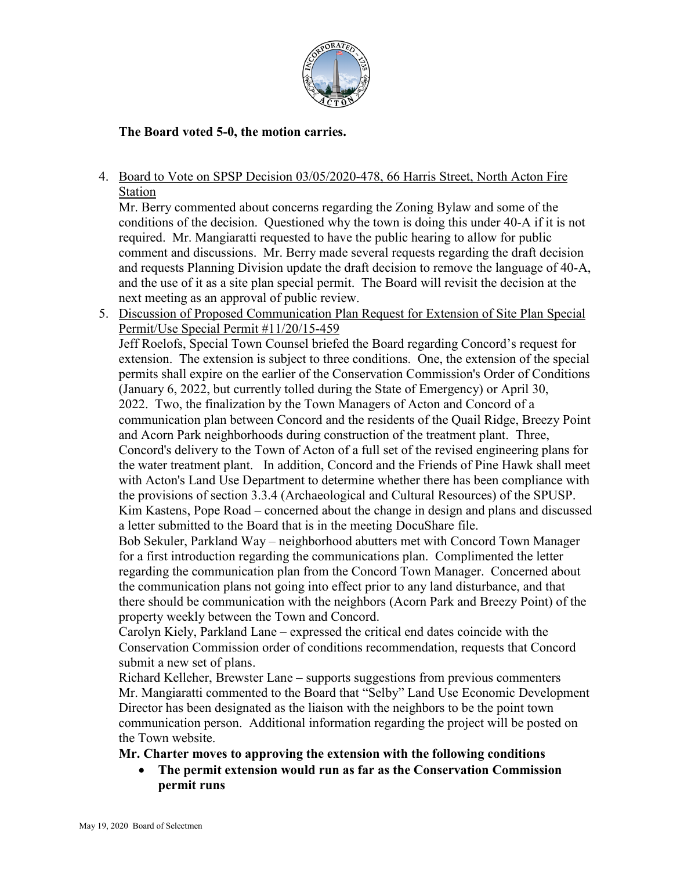

# **The Board voted 5-0, the motion carries.**

4. Board to Vote on SPSP Decision 03/05/2020-478, 66 Harris Street, North Acton Fire Station

Mr. Berry commented about concerns regarding the Zoning Bylaw and some of the conditions of the decision. Questioned why the town is doing this under 40-A if it is not required. Mr. Mangiaratti requested to have the public hearing to allow for public comment and discussions. Mr. Berry made several requests regarding the draft decision and requests Planning Division update the draft decision to remove the language of 40-A, and the use of it as a site plan special permit. The Board will revisit the decision at the next meeting as an approval of public review.

5. Discussion of Proposed Communication Plan Request for Extension of Site Plan Special Permit/Use Special Permit #11/20/15-459

Jeff Roelofs, Special Town Counsel briefed the Board regarding Concord's request for extension. The extension is subject to three conditions. One, the extension of the special permits shall expire on the earlier of the Conservation Commission's Order of Conditions (January 6, 2022, but currently tolled during the State of Emergency) or April 30, 2022. Two, the finalization by the Town Managers of Acton and Concord of a communication plan between Concord and the residents of the Quail Ridge, Breezy Point and Acorn Park neighborhoods during construction of the treatment plant. Three, Concord's delivery to the Town of Acton of a full set of the revised engineering plans for the water treatment plant. In addition, Concord and the Friends of Pine Hawk shall meet with Acton's Land Use Department to determine whether there has been compliance with the provisions of section 3.3.4 (Archaeological and Cultural Resources) of the SPUSP. Kim Kastens, Pope Road – concerned about the change in design and plans and discussed a letter submitted to the Board that is in the meeting DocuShare file.

Bob Sekuler, Parkland Way – neighborhood abutters met with Concord Town Manager for a first introduction regarding the communications plan. Complimented the letter regarding the communication plan from the Concord Town Manager. Concerned about the communication plans not going into effect prior to any land disturbance, and that there should be communication with the neighbors (Acorn Park and Breezy Point) of the property weekly between the Town and Concord.

Carolyn Kiely, Parkland Lane – expressed the critical end dates coincide with the Conservation Commission order of conditions recommendation, requests that Concord submit a new set of plans.

Richard Kelleher, Brewster Lane – supports suggestions from previous commenters Mr. Mangiaratti commented to the Board that "Selby" Land Use Economic Development Director has been designated as the liaison with the neighbors to be the point town communication person. Additional information regarding the project will be posted on the Town website.

### **Mr. Charter moves to approving the extension with the following conditions**

• **The permit extension would run as far as the Conservation Commission permit runs**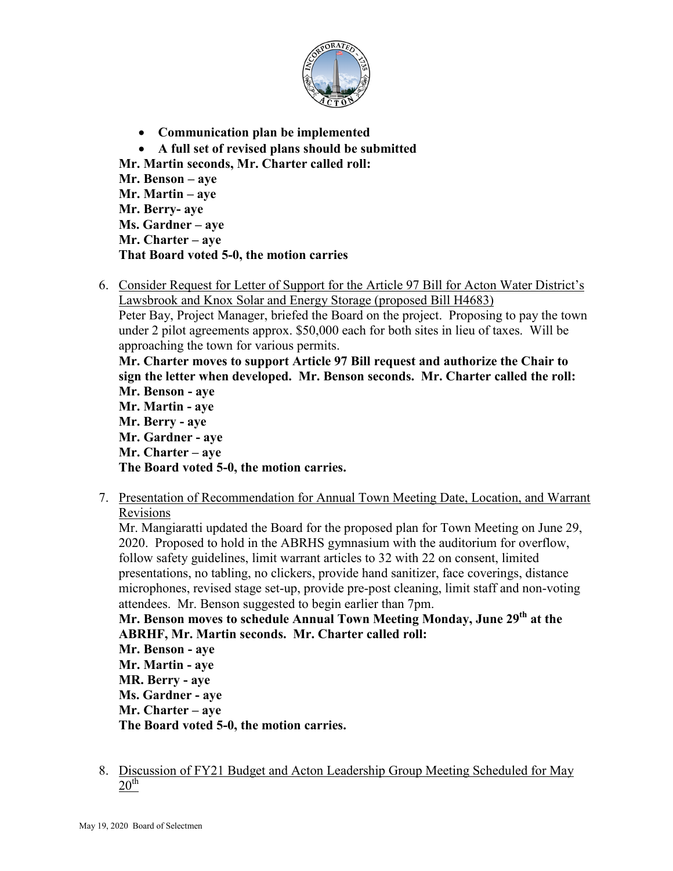

- **Communication plan be implemented** • **A full set of revised plans should be submitted Mr. Martin seconds, Mr. Charter called roll: Mr. Benson – aye Mr. Martin – aye Mr. Berry- aye Ms. Gardner – aye Mr. Charter – aye That Board voted 5-0, the motion carries**
- 6. Consider Request for Letter of Support for the Article 97 Bill for Acton Water District's Lawsbrook and Knox Solar and Energy Storage (proposed Bill H4683)

Peter Bay, Project Manager, briefed the Board on the project. Proposing to pay the town under 2 pilot agreements approx. \$50,000 each for both sites in lieu of taxes. Will be approaching the town for various permits.

**Mr. Charter moves to support Article 97 Bill request and authorize the Chair to sign the letter when developed. Mr. Benson seconds. Mr. Charter called the roll: Mr. Benson - aye Mr. Martin - aye Mr. Berry - aye Mr. Gardner - aye Mr. Charter – aye** 

**The Board voted 5-0, the motion carries.** 

7. Presentation of Recommendation for Annual Town Meeting Date, Location, and Warrant Revisions

Mr. Mangiaratti updated the Board for the proposed plan for Town Meeting on June 29, 2020. Proposed to hold in the ABRHS gymnasium with the auditorium for overflow, follow safety guidelines, limit warrant articles to 32 with 22 on consent, limited presentations, no tabling, no clickers, provide hand sanitizer, face coverings, distance microphones, revised stage set-up, provide pre-post cleaning, limit staff and non-voting attendees. Mr. Benson suggested to begin earlier than 7pm.

Mr. Benson moves to schedule Annual Town Meeting Monday, June 29<sup>th</sup> at the **ABRHF, Mr. Martin seconds. Mr. Charter called roll:**

**Mr. Benson - aye Mr. Martin - aye MR. Berry - aye Ms. Gardner - aye Mr. Charter – aye The Board voted 5-0, the motion carries.** 

8. Discussion of FY21 Budget and Acton Leadership Group Meeting Scheduled for May  $20^{\text{th}}$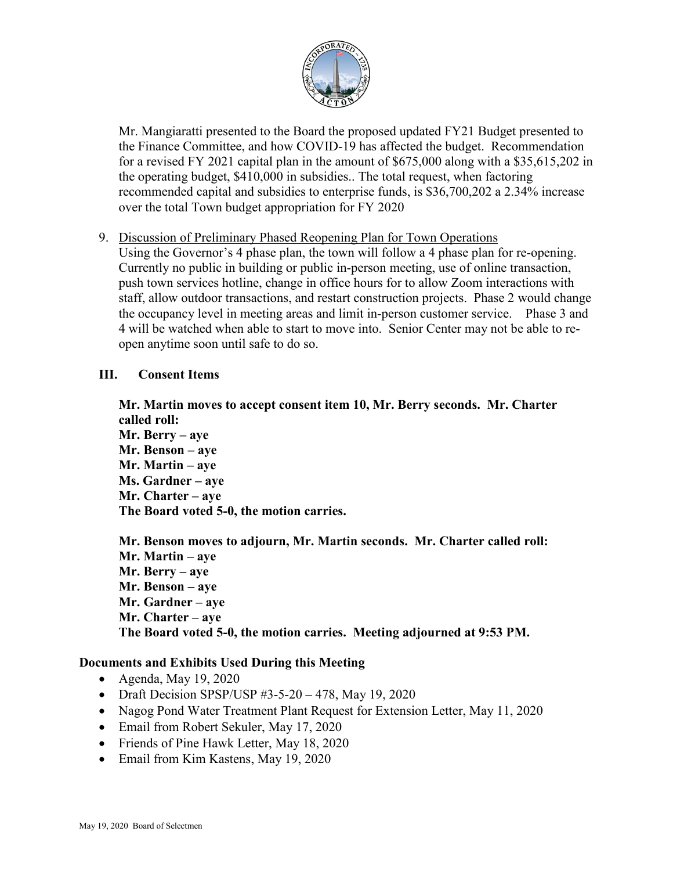

Mr. Mangiaratti presented to the Board the proposed updated FY21 Budget presented to the Finance Committee, and how COVID-19 has affected the budget. Recommendation for a revised FY 2021 capital plan in the amount of \$675,000 along with a \$35,615,202 in the operating budget, \$410,000 in subsidies.. The total request, when factoring recommended capital and subsidies to enterprise funds, is \$36,700,202 a 2.34% increase over the total Town budget appropriation for FY 2020

#### 9. Discussion of Preliminary Phased Reopening Plan for Town Operations

Using the Governor's 4 phase plan, the town will follow a 4 phase plan for re-opening. Currently no public in building or public in-person meeting, use of online transaction, push town services hotline, change in office hours for to allow Zoom interactions with staff, allow outdoor transactions, and restart construction projects. Phase 2 would change the occupancy level in meeting areas and limit in-person customer service. Phase 3 and 4 will be watched when able to start to move into. Senior Center may not be able to reopen anytime soon until safe to do so.

#### **III. Consent Items**

**Mr. Martin moves to accept consent item 10, Mr. Berry seconds. Mr. Charter called roll: Mr. Berry – aye Mr. Benson – aye Mr. Martin – aye Ms. Gardner – aye Mr. Charter – aye The Board voted 5-0, the motion carries.** 

**Mr. Benson moves to adjourn, Mr. Martin seconds. Mr. Charter called roll: Mr. Martin – aye Mr. Berry – aye Mr. Benson – aye Mr. Gardner – aye Mr. Charter – aye The Board voted 5-0, the motion carries. Meeting adjourned at 9:53 PM.** 

### **Documents and Exhibits Used During this Meeting**

- Agenda, May 19, 2020
- Draft Decision SPSP/USP #3-5-20 478, May 19, 2020
- Nagog Pond Water Treatment Plant Request for Extension Letter, May 11, 2020
- Email from Robert Sekuler, May 17, 2020
- Friends of Pine Hawk Letter, May 18, 2020
- Email from Kim Kastens, May 19, 2020